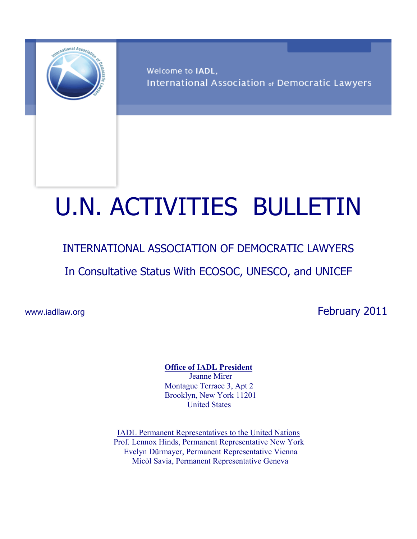

Welcome to IADL, International Association of Democratic Lawyers

# U.N. ACTIVITIES BULLETIN

### INTERNATIONAL ASSOCIATION OF DEMOCRATIC LAWYERS

In Consultative Status With ECOSOC, UNESCO, and UNICEF

www.iadllaw.org **February 2011** 

**Office of IADL President**

 Jeanne Mirer Montague Terrace 3, Apt 2 Brooklyn, New York 11201 United States

IADL Permanent Representatives to the United Nations Prof. Lennox Hinds, Permanent Representative New York Evelyn Dürmayer, Permanent Representative Vienna Micòl Savia, Permanent Representative Geneva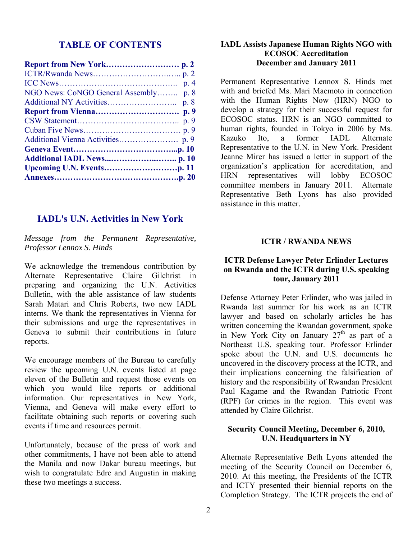#### **TABLE OF CONTENTS**

| NGO News: CoNGO General Assembly p. 8 |  |
|---------------------------------------|--|
|                                       |  |
|                                       |  |
|                                       |  |
|                                       |  |
|                                       |  |
|                                       |  |
|                                       |  |
|                                       |  |
|                                       |  |

#### **IADL's U.N. Activities in New York**

*Message from the Permanent Representative, Professor Lennox S. Hinds* 

We acknowledge the tremendous contribution by Alternate Representative Claire Gilchrist in preparing and organizing the U.N. Activities Bulletin, with the able assistance of law students Sarah Matari and Chris Roberts, two new IADL interns. We thank the representatives in Vienna for their submissions and urge the representatives in Geneva to submit their contributions in future reports.

We encourage members of the Bureau to carefully review the upcoming U.N. events listed at page eleven of the Bulletin and request those events on which you would like reports or additional information. Our representatives in New York, Vienna, and Geneva will make every effort to facilitate obtaining such reports or covering such events if time and resources permit.

Unfortunately, because of the press of work and other commitments, I have not been able to attend the Manila and now Dakar bureau meetings, but wish to congratulate Edre and Augustin in making these two meetings a success.

#### **IADL Assists Japanese Human Rights NGO with ECOSOC Accreditation December and January 2011**

Permanent Representative Lennox S. Hinds met with and briefed Ms. Mari Maemoto in connection with the Human Rights Now (HRN) NGO to develop a strategy for their successful request for ECOSOC status. HRN is an NGO committed to human rights, founded in Tokyo in 2006 by Ms. Kazuko Ito, a former IADL Alternate Representative to the U.N. in New York. President Jeanne Mirer has issued a letter in support of the organization's application for accreditation, and HRN representatives will lobby ECOSOC committee members in January 2011. Alternate Representative Beth Lyons has also provided assistance in this matter.

#### **ICTR / RWANDA NEWS**

#### **ICTR Defense Lawyer Peter Erlinder Lectures on Rwanda and the ICTR during U.S. speaking tour, January 2011**

Defense Attorney Peter Erlinder, who was jailed in Rwanda last summer for his work as an ICTR lawyer and based on scholarly articles he has written concerning the Rwandan government, spoke in New York City on January  $27<sup>th</sup>$  as part of a Northeast U.S. speaking tour. Professor Erlinder spoke about the U.N. and U.S. documents he uncovered in the discovery process at the ICTR, and their implications concerning the falsification of history and the responsibility of Rwandan President Paul Kagame and the Rwandan Patriotic Front (RPF) for crimes in the region. This event was attended by Claire Gilchrist.

#### **Security Council Meeting, December 6, 2010, U.N. Headquarters in NY**

Alternate Representative Beth Lyons attended the meeting of the Security Council on December 6, 2010. At this meeting, the Presidents of the ICTR and ICTY presented their biennial reports on the Completion Strategy. The ICTR projects the end of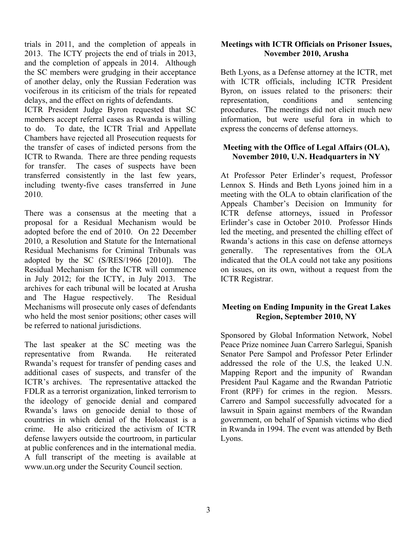trials in 2011, and the completion of appeals in 2013. The ICTY projects the end of trials in 2013, and the completion of appeals in 2014. Although the SC members were grudging in their acceptance of another delay, only the Russian Federation was vociferous in its criticism of the trials for repeated delays, and the effect on rights of defendants.

ICTR President Judge Byron requested that SC members accept referral cases as Rwanda is willing to do. To date, the ICTR Trial and Appellate Chambers have rejected all Prosecution requests for the transfer of cases of indicted persons from the ICTR to Rwanda. There are three pending requests for transfer. The cases of suspects have been transferred consistently in the last few years, including twenty-five cases transferred in June 2010.

There was a consensus at the meeting that a proposal for a Residual Mechanism would be adopted before the end of 2010. On 22 December 2010, a Resolution and Statute for the International Residual Mechanisms for Criminal Tribunals was adopted by the SC (S/RES/1966 [2010]). The Residual Mechanism for the ICTR will commence in July 2012; for the ICTY, in July 2013. The archives for each tribunal will be located at Arusha and The Hague respectively. The Residual Mechanisms will prosecute only cases of defendants who held the most senior positions; other cases will be referred to national jurisdictions.

The last speaker at the SC meeting was the representative from Rwanda. He reiterated Rwanda's request for transfer of pending cases and additional cases of suspects, and transfer of the ICTR's archives. The representative attacked the FDLR as a terrorist organization, linked terrorism to the ideology of genocide denial and compared Rwanda's laws on genocide denial to those of countries in which denial of the Holocaust is a crime. He also criticized the activism of ICTR defense lawyers outside the courtroom, in particular at public conferences and in the international media. A full transcript of the meeting is available at www.un.org under the Security Council section.

#### **Meetings with ICTR Officials on Prisoner Issues, November 2010, Arusha**

Beth Lyons, as a Defense attorney at the ICTR, met with ICTR officials, including ICTR President Byron, on issues related to the prisoners: their representation, conditions and sentencing procedures. The meetings did not elicit much new information, but were useful fora in which to express the concerns of defense attorneys.

#### **Meeting with the Office of Legal Affairs (OLA), November 2010, U.N. Headquarters in NY**

At Professor Peter Erlinder's request, Professor Lennox S. Hinds and Beth Lyons joined him in a meeting with the OLA to obtain clarification of the Appeals Chamber's Decision on Immunity for ICTR defense attorneys, issued in Professor Erlinder's case in October 2010. Professor Hinds led the meeting, and presented the chilling effect of Rwanda's actions in this case on defense attorneys generally. The representatives from the OLA indicated that the OLA could not take any positions on issues, on its own, without a request from the ICTR Registrar.

#### **Meeting on Ending Impunity in the Great Lakes Region, September 2010, NY**

Sponsored by Global Information Network, Nobel Peace Prize nominee Juan Carrero Sarlegui, Spanish Senator Pere Sampol and Professor Peter Erlinder addressed the role of the U.S, the leaked U.N. Mapping Report and the impunity of Rwandan President Paul Kagame and the Rwandan Patriotic Front (RPF) for crimes in the region. Messrs. Carrero and Sampol successfully advocated for a lawsuit in Spain against members of the Rwandan government, on behalf of Spanish victims who died in Rwanda in 1994. The event was attended by Beth Lyons.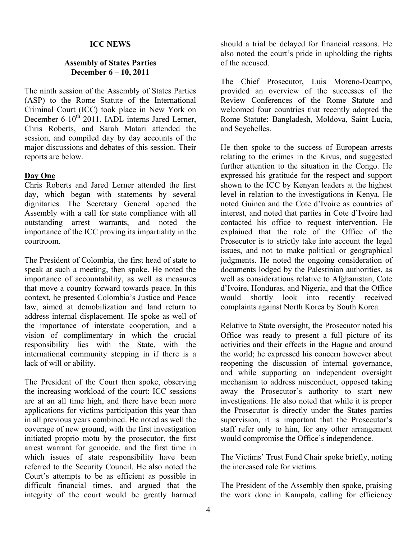#### **ICC NEWS**

#### **Assembly of States Parties December 6 – 10, 2011**

The ninth session of the Assembly of States Parties (ASP) to the Rome Statute of the International Criminal Court (ICC) took place in New York on December 6-10<sup>th</sup> 2011. IADL interns Jared Lerner, Chris Roberts, and Sarah Matari attended the session, and compiled day by day accounts of the major discussions and debates of this session. Their reports are below.

#### **Day One**

Chris Roberts and Jared Lerner attended the first day, which began with statements by several dignitaries. The Secretary General opened the Assembly with a call for state compliance with all outstanding arrest warrants, and noted the importance of the ICC proving its impartiality in the courtroom.

The President of Colombia, the first head of state to speak at such a meeting, then spoke. He noted the importance of accountability, as well as measures that move a country forward towards peace. In this context, he presented Colombia's Justice and Peace law, aimed at demobilization and land return to address internal displacement. He spoke as well of the importance of interstate cooperation, and a vision of complimentary in which the crucial responsibility lies with the State, with the international community stepping in if there is a lack of will or ability.

The President of the Court then spoke, observing the increasing workload of the court: ICC sessions are at an all time high, and there have been more applications for victims participation this year than in all previous years combined. He noted as well the coverage of new ground, with the first investigation initiated proprio motu by the prosecutor, the first arrest warrant for genocide, and the first time in which issues of state responsibility have been referred to the Security Council. He also noted the Court's attempts to be as efficient as possible in difficult financial times, and argued that the integrity of the court would be greatly harmed

should a trial be delayed for financial reasons. He also noted the court's pride in upholding the rights of the accused.

The Chief Prosecutor, Luis Moreno-Ocampo, provided an overview of the successes of the Review Conferences of the Rome Statute and welcomed four countries that recently adopted the Rome Statute: Bangladesh, Moldova, Saint Lucia, and Seychelles.

He then spoke to the success of European arrests relating to the crimes in the Kivus, and suggested further attention to the situation in the Congo. He expressed his gratitude for the respect and support shown to the ICC by Kenyan leaders at the highest level in relation to the investigations in Kenya. He noted Guinea and the Cote d'Ivoire as countries of interest, and noted that parties in Cote d'Ivoire had contacted his office to request intervention. He explained that the role of the Office of the Prosecutor is to strictly take into account the legal issues, and not to make political or geographical judgments. He noted the ongoing consideration of documents lodged by the Palestinian authorities, as well as considerations relative to Afghanistan, Cote d'Ivoire, Honduras, and Nigeria, and that the Office would shortly look into recently received complaints against North Korea by South Korea.

Relative to State oversight, the Prosecutor noted his Office was ready to present a full picture of its activities and their effects in the Hague and around the world; he expressed his concern however about reopening the discussion of internal governance, and while supporting an independent oversight mechanism to address misconduct, opposed taking away the Prosecutor's authority to start new investigations. He also noted that while it is proper the Prosecutor is directly under the States parties supervision, it is important that the Prosecutor's staff refer only to him, for any other arrangement would compromise the Office's independence.

The Victims' Trust Fund Chair spoke briefly, noting the increased role for victims.

The President of the Assembly then spoke, praising the work done in Kampala, calling for efficiency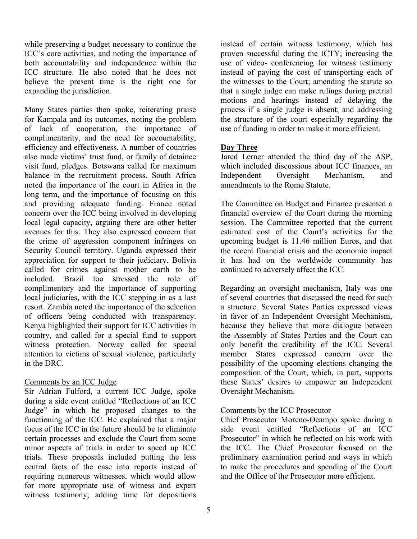while preserving a budget necessary to continue the ICC's core activities, and noting the importance of both accountability and independence within the ICC structure. He also noted that he does not believe the present time is the right one for expanding the jurisdiction.

Many States parties then spoke, reiterating praise for Kampala and its outcomes, noting the problem of lack of cooperation, the importance of complimentarity, and the need for accountability, efficiency and effectiveness. A number of countries also made victims' trust fund, or family of detainee visit fund, pledges. Botswana called for maximum balance in the recruitment process. South Africa noted the importance of the court in Africa in the long term, and the importance of focusing on this and providing adequate funding. France noted concern over the ICC being involved in developing local legal capacity, arguing there are other better avenues for this. They also expressed concern that the crime of aggression component infringes on Security Council territory. Uganda expressed their appreciation for support to their judiciary. Bolivia called for crimes against mother earth to be included. Brazil too stressed the role of complimentary and the importance of supporting local judiciaries, with the ICC stepping in as a last resort. Zambia noted the importance of the selection of officers being conducted with transparency. Kenya highlighted their support for ICC activities in country, and called for a special fund to support witness protection. Norway called for special attention to victims of sexual violence, particularly in the DRC.

#### Comments by an ICC Judge

Sir Adrian Fulford, a current ICC Judge, spoke during a side event entitled "Reflections of an ICC Judge" in which he proposed changes to the functioning of the ICC. He explained that a major focus of the ICC in the future should be to eliminate certain processes and exclude the Court from some minor aspects of trials in order to speed up ICC trials. These proposals included putting the less central facts of the case into reports instead of requiring numerous witnesses, which would allow for more appropriate use of witness and expert witness testimony; adding time for depositions

instead of certain witness testimony, which has proven successful during the ICTY; increasing the use of video- conferencing for witness testimony instead of paying the cost of transporting each of the witnesses to the Court; amending the statute so that a single judge can make rulings during pretrial motions and hearings instead of delaying the process if a single judge is absent; and addressing the structure of the court especially regarding the use of funding in order to make it more efficient.

#### **Day Three**

Jared Lerner attended the third day of the ASP, which included discussions about ICC finances, an Independent Oversight Mechanism, and amendments to the Rome Statute.

The Committee on Budget and Finance presented a financial overview of the Court during the morning session. The Committee reported that the current estimated cost of the Court's activities for the upcoming budget is 11.46 million Euros, and that the recent financial crisis and the economic impact it has had on the worldwide community has continued to adversely affect the ICC.

Regarding an oversight mechanism, Italy was one of several countries that discussed the need for such a structure. Several States Parties expressed views in favor of an Independent Oversight Mechanism, because they believe that more dialogue between the Assembly of States Parties and the Court can only benefit the credibility of the ICC. Several member States expressed concern over the possibility of the upcoming elections changing the composition of the Court, which, in part, supports these States' desires to empower an Independent Oversight Mechanism.

#### Comments by the ICC Prosecutor

Chief Prosecutor Moreno-Ocampo spoke during a side event entitled "Reflections of an ICC Prosecutor" in which he reflected on his work with the ICC. The Chief Prosecutor focused on the preliminary examination period and ways in which to make the procedures and spending of the Court and the Office of the Prosecutor more efficient.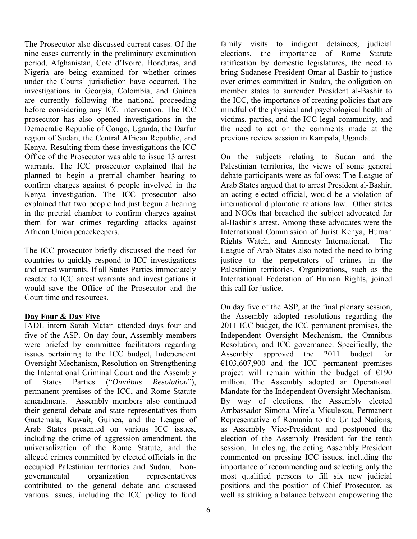The Prosecutor also discussed current cases. Of the nine cases currently in the preliminary examination period, Afghanistan, Cote d'Ivoire, Honduras, and Nigeria are being examined for whether crimes under the Courts' jurisdiction have occurred. The investigations in Georgia, Colombia, and Guinea are currently following the national proceeding before considering any ICC intervention. The ICC prosecutor has also opened investigations in the Democratic Republic of Congo, Uganda, the Darfur region of Sudan, the Central African Republic, and Kenya. Resulting from these investigations the ICC Office of the Prosecutor was able to issue 13 arrest warrants. The ICC prosecutor explained that he planned to begin a pretrial chamber hearing to confirm charges against 6 people involved in the Kenya investigation. The ICC prosecutor also explained that two people had just begun a hearing in the pretrial chamber to confirm charges against them for war crimes regarding attacks against African Union peacekeepers.

The ICC prosecutor briefly discussed the need for countries to quickly respond to ICC investigations and arrest warrants. If all States Parties immediately reacted to ICC arrest warrants and investigations it would save the Office of the Prosecutor and the Court time and resources.

#### **Day Four & Day Five**

IADL intern Sarah Matari attended days four and five of the ASP. On day four, Assembly members were briefed by committee facilitators regarding issues pertaining to the ICC budget, Independent Oversight Mechanism, Resolution on Strengthening the International Criminal Court and the Assembly of States Parties ("*Omnibus Resolution*"), permanent premises of the ICC, and Rome Statute amendments. Assembly members also continued their general debate and state representatives from Guatemala, Kuwait, Guinea, and the League of Arab States presented on various ICC issues, including the crime of aggression amendment, the universalization of the Rome Statute, and the alleged crimes committed by elected officials in the occupied Palestinian territories and Sudan. Nongovernmental organization representatives contributed to the general debate and discussed various issues, including the ICC policy to fund

family visits to indigent detainees, judicial elections, the importance of Rome Statute ratification by domestic legislatures, the need to bring Sudanese President Omar al-Bashir to justice over crimes committed in Sudan, the obligation on member states to surrender President al-Bashir to the ICC, the importance of creating policies that are mindful of the physical and psychological health of victims, parties, and the ICC legal community, and the need to act on the comments made at the previous review session in Kampala, Uganda.

On the subjects relating to Sudan and the Palestinian territories, the views of some general debate participants were as follows: The League of Arab States argued that to arrest President al-Bashir, an acting elected official, would be a violation of international diplomatic relations law. Other states and NGOs that breached the subject advocated for al-Bashir's arrest. Among these advocates were the International Commission of Jurist Kenya, Human Rights Watch, and Amnesty International. The League of Arab States also noted the need to bring justice to the perpetrators of crimes in the Palestinian territories. Organizations, such as the International Federation of Human Rights, joined this call for justice.

On day five of the ASP, at the final plenary session, the Assembly adopted resolutions regarding the 2011 ICC budget, the ICC permanent premises, the Independent Oversight Mechanism, the Omnibus Resolution, and ICC governance. Specifically, the Assembly approved the 2011 budget for  $€103,607,900$  and the ICC permanent premises project will remain within the budget of  $£190$ million. The Assembly adopted an Operational Mandate for the Independent Oversight Mechanism. By way of elections, the Assembly elected Ambassador Simona Mirela Miculescu, Permanent Representative of Romania to the United Nations, as Assembly Vice-President and postponed the election of the Assembly President for the tenth session. In closing, the acting Assembly President commented on pressing ICC issues, including the importance of recommending and selecting only the most qualified persons to fill six new judicial positions and the position of Chief Prosecutor, as well as striking a balance between empowering the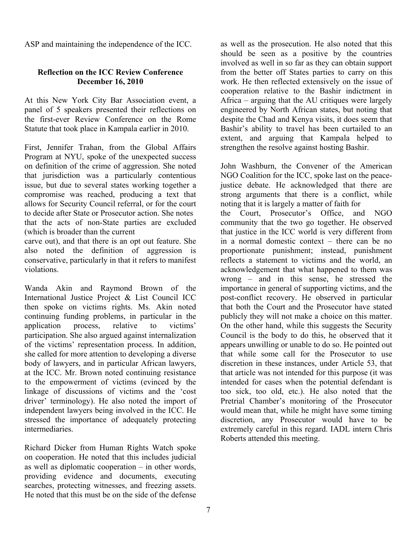ASP and maintaining the independence of the ICC.

#### **Reflection on the ICC Review Conference December 16, 2010**

At this New York City Bar Association event, a panel of 5 speakers presented their reflections on the first-ever Review Conference on the Rome Statute that took place in Kampala earlier in 2010.

First, Jennifer Trahan, from the Global Affairs Program at NYU, spoke of the unexpected success on definition of the crime of aggression. She noted that jurisdiction was a particularly contentious issue, but due to several states working together a compromise was reached, producing a text that allows for Security Council referral, or for the court to decide after State or Prosecutor action. She notes that the acts of non-State parties are excluded (which is broader than the current

carve out), and that there is an opt out feature. She also noted the definition of aggression is conservative, particularly in that it refers to manifest violations.

Wanda Akin and Raymond Brown of the International Justice Project & List Council ICC then spoke on victims rights. Ms. Akin noted continuing funding problems, in particular in the application process, relative to victims' participation. She also argued against internalization of the victims' representation process. In addition, she called for more attention to developing a diverse body of lawyers, and in particular African lawyers, at the ICC. Mr. Brown noted continuing resistance to the empowerment of victims (evinced by the linkage of discussions of victims and the 'cost driver' terminology). He also noted the import of independent lawyers being involved in the ICC. He stressed the importance of adequately protecting intermediaries.

Richard Dicker from Human Rights Watch spoke on cooperation. He noted that this includes judicial as well as diplomatic cooperation – in other words, providing evidence and documents, executing searches, protecting witnesses, and freezing assets. He noted that this must be on the side of the defense

as well as the prosecution. He also noted that this should be seen as a positive by the countries involved as well in so far as they can obtain support from the better off States parties to carry on this work. He then reflected extensively on the issue of cooperation relative to the Bashir indictment in Africa – arguing that the AU critiques were largely engineered by North African states, but noting that despite the Chad and Kenya visits, it does seem that Bashir's ability to travel has been curtailed to an extent, and arguing that Kampala helped to strengthen the resolve against hosting Bashir.

John Washburn, the Convener of the American NGO Coalition for the ICC, spoke last on the peacejustice debate. He acknowledged that there are strong arguments that there is a conflict, while noting that it is largely a matter of faith for the Court, Prosecutor's Office, and NGO

community that the two go together. He observed that justice in the ICC world is very different from in a normal domestic context – there can be no proportionate punishment; instead, punishment reflects a statement to victims and the world, an acknowledgement that what happened to them was wrong – and in this sense, he stressed the importance in general of supporting victims, and the post-conflict recovery. He observed in particular that both the Court and the Prosecutor have stated publicly they will not make a choice on this matter. On the other hand, while this suggests the Security Council is the body to do this, he observed that it appears unwilling or unable to do so. He pointed out that while some call for the Prosecutor to use discretion in these instances, under Article 53, that that article was not intended for this purpose (it was intended for cases when the potential defendant is too sick, too old, etc.). He also noted that the Pretrial Chamber's monitoring of the Prosecutor would mean that, while he might have some timing discretion, any Prosecutor would have to be extremely careful in this regard. IADL intern Chris Roberts attended this meeting.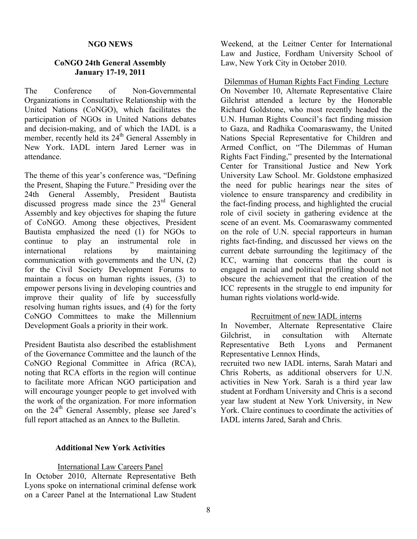#### **NGO NEWS**

#### **CoNGO 24th General Assembly January 17-19, 2011**

The Conference of Non-Governmental Organizations in Consultative Relationship with the United Nations (CoNGO), which facilitates the participation of NGOs in United Nations debates and decision-making, and of which the IADL is a member, recently held its 24<sup>th</sup> General Assembly in New York. IADL intern Jared Lerner was in attendance.

The theme of this year's conference was, "Defining the Present, Shaping the Future." Presiding over the 24th General Assembly, President Bautista discussed progress made since the 23<sup>rd</sup> General Assembly and key objectives for shaping the future of CoNGO. Among these objectives, President Bautista emphasized the need (1) for NGOs to continue to play an instrumental role in international relations by maintaining communication with governments and the UN, (2) for the Civil Society Development Forums to maintain a focus on human rights issues, (3) to empower persons living in developing countries and improve their quality of life by successfully resolving human rights issues, and (4) for the forty CoNGO Committees to make the Millennium Development Goals a priority in their work.

President Bautista also described the establishment of the Governance Committee and the launch of the CoNGO Regional Committee in Africa (RCA), noting that RCA efforts in the region will continue to facilitate more African NGO participation and will encourage younger people to get involved with the work of the organization. For more information on the 24<sup>th</sup> General Assembly, please see Jared's full report attached as an Annex to the Bulletin.

#### **Additional New York Activities**

#### International Law Careers Panel

In October 2010, Alternate Representative Beth Lyons spoke on international criminal defense work on a Career Panel at the International Law Student

Weekend, at the Leitner Center for International Law and Justice, Fordham University School of Law, New York City in October 2010.

Dilemmas of Human Rights Fact Finding Lecture On November 10, Alternate Representative Claire Gilchrist attended a lecture by the Honorable Richard Goldstone, who most recently headed the U.N. Human Rights Council's fact finding mission to Gaza, and Radhika Coomaraswamy, the United Nations Special Representative for Children and Armed Conflict, on "The Dilemmas of Human Rights Fact Finding," presented by the International Center for Transitional Justice and New York University Law School. Mr. Goldstone emphasized the need for public hearings near the sites of violence to ensure transparency and credibility in the fact-finding process, and highlighted the crucial role of civil society in gathering evidence at the scene of an event. Ms. Coomaraswamy commented on the role of U.N. special rapporteurs in human rights fact-finding, and discussed her views on the current debate surrounding the legitimacy of the ICC, warning that concerns that the court is engaged in racial and political profiling should not obscure the achievement that the creation of the ICC represents in the struggle to end impunity for human rights violations world-wide.

#### Recruitment of new IADL interns

In November, Alternate Representative Claire Gilchrist, in consultation with Alternate Representative Beth Lyons and Permanent Representative Lennox Hinds,

recruited two new IADL interns, Sarah Matari and Chris Roberts, as additional observers for U.N. activities in New York. Sarah is a third year law student at Fordham University and Chris is a second year law student at New York University, in New York. Claire continues to coordinate the activities of IADL interns Jared, Sarah and Chris.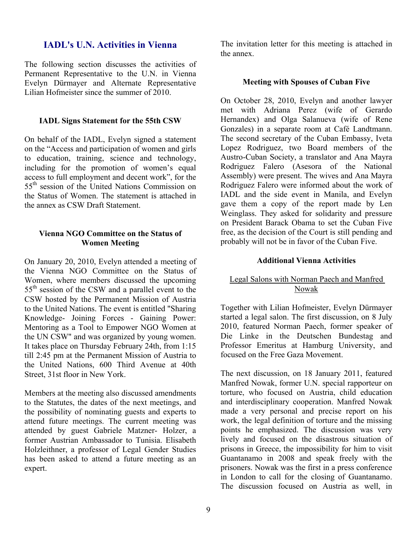#### **IADL's U.N. Activities in Vienna**

The following section discusses the activities of Permanent Representative to the U.N. in Vienna Evelyn Dürmayer and Alternate Representative Lilian Hofmeister since the summer of 2010.

#### **IADL Signs Statement for the 55th CSW**

On behalf of the IADL, Evelyn signed a statement on the "Access and participation of women and girls to education, training, science and technology, including for the promotion of women's equal access to full employment and decent work", for the 55<sup>th</sup> session of the United Nations Commission on the Status of Women. The statement is attached in the annex as CSW Draft Statement.

#### **Vienna NGO Committee on the Status of Women Meeting**

On January 20, 2010, Evelyn attended a meeting of the Vienna NGO Committee on the Status of Women, where members discussed the upcoming 55<sup>th</sup> session of the CSW and a parallel event to the CSW hosted by the Permanent Mission of Austria to the United Nations. The event is entitled "Sharing Knowledge- Joining Forces - Gaining Power: Mentoring as a Tool to Empower NGO Women at the UN CSW" and was organized by young women. It takes place on Thursday February 24th, from 1:15 till 2:45 pm at the Permanent Mission of Austria to the United Nations, 600 Third Avenue at 40th Street, 31st floor in New York.

Members at the meeting also discussed amendments to the Statutes, the dates of the next meetings, and the possibility of nominating guests and experts to attend future meetings. The current meeting was attended by guest Gabriele Matzner- Holzer, a former Austrian Ambassador to Tunisia. Elisabeth Holzleithner, a professor of Legal Gender Studies has been asked to attend a future meeting as an expert.

The invitation letter for this meeting is attached in the annex.

#### **Meeting with Spouses of Cuban Five**

On October 28, 2010, Evelyn and another lawyer met with Adriana Perez (wife of Gerardo Hernandex) and Olga Salanueva (wife of Rene Gonzales) in a separate room at Café Landtmann. The second secretary of the Cuban Embassy, Iveta Lopez Rodriguez, two Board members of the Austro-Cuban Society, a translator and Ana Mayra Rodriguez Falero (Asesora of the National Assembly) were present. The wives and Ana Mayra Rodriguez Falero were informed about the work of IADL and the side event in Manila, and Evelyn gave them a copy of the report made by Len Weinglass. They asked for solidarity and pressure on President Barack Obama to set the Cuban Five free, as the decision of the Court is still pending and probably will not be in favor of the Cuban Five.

#### **Additional Vienna Activities**

#### Legal Salons with Norman Paech and Manfred Nowak

Together with Lilian Hofmeister, Evelyn Dürmayer started a legal salon. The first discussion, on 8 July 2010, featured Norman Paech, former speaker of Die Linke in the Deutschen Bundestag and Professor Emeritus at Hamburg University, and focused on the Free Gaza Movement.

The next discussion, on 18 January 2011, featured Manfred Nowak, former U.N. special rapporteur on torture, who focused on Austria, child education and interdisciplinary cooperation. Manfred Nowak made a very personal and precise report on his work, the legal definition of torture and the missing points he emphasized. The discussion was very lively and focused on the disastrous situation of prisons in Greece, the impossibility for him to visit Guantanamo in 2008 and speak freely with the prisoners. Nowak was the first in a press conference in London to call for the closing of Guantanamo. The discussion focused on Austria as well, in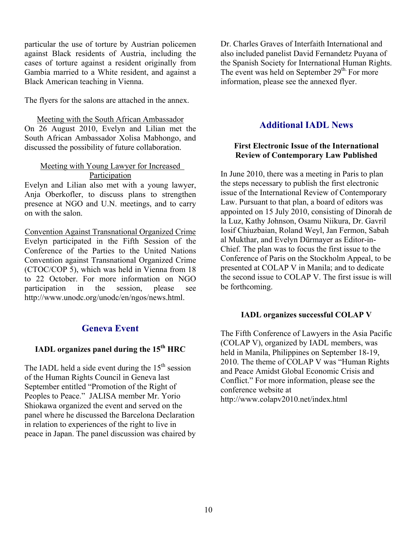particular the use of torture by Austrian policemen against Black residents of Austria, including the cases of torture against a resident originally from Gambia married to a White resident, and against a Black American teaching in Vienna.

The flyers for the salons are attached in the annex.

Meeting with the South African Ambassador On 26 August 2010, Evelyn and Lilian met the South African Ambassador Xolisa Mabhongo, and discussed the possibility of future collaboration.

#### Meeting with Young Lawyer for Increased Participation

Evelyn and Lilian also met with a young lawyer, Anja Oberkofler, to discuss plans to strengthen presence at NGO and U.N. meetings, and to carry on with the salon.

Convention Against Transnational Organized Crime Evelyn participated in the Fifth Session of the Conference of the Parties to the United Nations Convention against Transnational Organized Crime (CTOC/COP 5), which was held in Vienna from 18 to 22 October. For more information on NGO participation in the session, please see http://www.unodc.org/unodc/en/ngos/news.html.

#### **Geneva Event**

#### **IADL organizes panel during the 15th HRC**

The IADL held a side event during the  $15<sup>th</sup>$  session of the Human Rights Council in Geneva last September entitled "Promotion of the Right of Peoples to Peace." JALISA member Mr. Yorio Shiokawa organized the event and served on the panel where he discussed the Barcelona Declaration in relation to experiences of the right to live in peace in Japan. The panel discussion was chaired by

Dr. Charles Graves of Interfaith International and also included panelist David Fernandetz Puyana of the Spanish Society for International Human Rights. The event was held on September 29<sup>th.</sup> For more information, please see the annexed flyer.

#### **Additional IADL News**

#### **First Electronic Issue of the International Review of Contemporary Law Published**

In June 2010, there was a meeting in Paris to plan the steps necessary to publish the first electronic issue of the International Review of Contemporary Law. Pursuant to that plan, a board of editors was appointed on 15 July 2010, consisting of Dinorah de la Luz, Kathy Johnson, Osamu Niikura, Dr. Gavril Iosif Chiuzbaian, Roland Weyl, Jan Fermon, Sabah al Mukthar, and Evelyn Dürmayer as Editor-in-Chief. The plan was to focus the first issue to the Conference of Paris on the Stockholm Appeal, to be presented at COLAP V in Manila; and to dedicate the second issue to COLAP V. The first issue is will be forthcoming.

#### **IADL organizes successful COLAP V**

The Fifth Conference of Lawyers in the Asia Pacific (COLAP V), organized by IADL members, was held in Manila, Philippines on September 18-19, 2010. The theme of COLAP V was "Human Rights and Peace Amidst Global Economic Crisis and Conflict." For more information, please see the conference website at http://www.colapv2010.net/index.html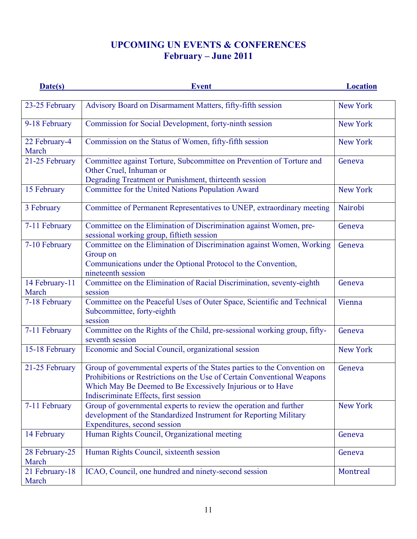### **UPCOMING UN EVENTS & CONFERENCES February – June 2011**

| Date(s)                 | <b>Event</b>                                                                                                                                                                                                                                               | <b>Location</b> |
|-------------------------|------------------------------------------------------------------------------------------------------------------------------------------------------------------------------------------------------------------------------------------------------------|-----------------|
| 23-25 February          | Advisory Board on Disarmament Matters, fifty-fifth session                                                                                                                                                                                                 | <b>New York</b> |
| 9-18 February           | Commission for Social Development, forty-ninth session                                                                                                                                                                                                     | <b>New York</b> |
| 22 February-4<br>March  | Commission on the Status of Women, fifty-fifth session                                                                                                                                                                                                     | <b>New York</b> |
| 21-25 February          | Committee against Torture, Subcommittee on Prevention of Torture and<br>Other Cruel, Inhuman or<br>Degrading Treatment or Punishment, thirteenth session                                                                                                   | Geneva          |
| 15 February             | Committee for the United Nations Population Award                                                                                                                                                                                                          | <b>New York</b> |
| 3 February              | Committee of Permanent Representatives to UNEP, extraordinary meeting                                                                                                                                                                                      | Nairobi         |
| 7-11 February           | Committee on the Elimination of Discrimination against Women, pre-<br>sessional working group, fiftieth session                                                                                                                                            | Geneva          |
| 7-10 February           | Committee on the Elimination of Discrimination against Women, Working<br>Group on<br>Communications under the Optional Protocol to the Convention,<br>nineteenth session                                                                                   | Geneva          |
| 14 February-11<br>March | Committee on the Elimination of Racial Discrimination, seventy-eighth<br>session                                                                                                                                                                           | Geneva          |
| 7-18 February           | Committee on the Peaceful Uses of Outer Space, Scientific and Technical<br>Subcommittee, forty-eighth<br>session                                                                                                                                           | Vienna          |
| 7-11 February           | Committee on the Rights of the Child, pre-sessional working group, fifty-<br>seventh session                                                                                                                                                               | Geneva          |
| 15-18 February          | Economic and Social Council, organizational session                                                                                                                                                                                                        | <b>New York</b> |
| 21-25 February          | Group of governmental experts of the States parties to the Convention on<br>Prohibitions or Restrictions on the Use of Certain Conventional Weapons<br>Which May Be Deemed to Be Excessively Injurious or to Have<br>Indiscriminate Effects, first session | Geneva          |
| 7-11 February           | Group of governmental experts to review the operation and further<br>development of the Standardized Instrument for Reporting Military<br>Expenditures, second session                                                                                     | <b>New York</b> |
| 14 February             | Human Rights Council, Organizational meeting                                                                                                                                                                                                               | Geneva          |
| 28 February-25<br>March | Human Rights Council, sixteenth session                                                                                                                                                                                                                    | Geneva          |
| 21 February-18<br>March | ICAO, Council, one hundred and ninety-second session                                                                                                                                                                                                       | Montreal        |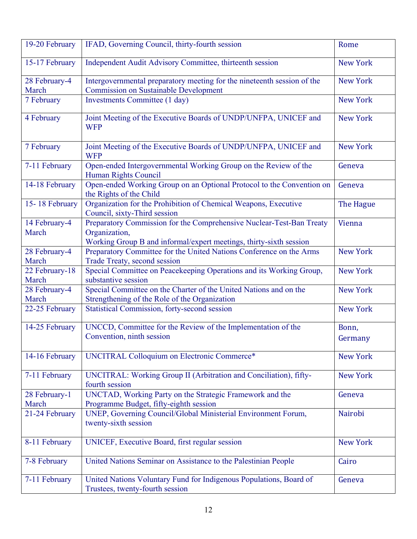| 19-20 February          | IFAD, Governing Council, thirty-fourth session                                                                                                              | Rome             |
|-------------------------|-------------------------------------------------------------------------------------------------------------------------------------------------------------|------------------|
| 15-17 February          | Independent Audit Advisory Committee, thirteenth session                                                                                                    | <b>New York</b>  |
| 28 February-4<br>March  | Intergovernmental preparatory meeting for the nineteenth session of the<br><b>Commission on Sustainable Development</b>                                     | <b>New York</b>  |
| 7 February              | Investments Committee (1 day)                                                                                                                               | <b>New York</b>  |
| 4 February              | Joint Meeting of the Executive Boards of UNDP/UNFPA, UNICEF and<br><b>WFP</b>                                                                               | <b>New York</b>  |
| 7 February              | Joint Meeting of the Executive Boards of UNDP/UNFPA, UNICEF and<br><b>WFP</b>                                                                               | <b>New York</b>  |
| 7-11 February           | Open-ended Intergovernmental Working Group on the Review of the<br>Human Rights Council                                                                     | Geneva           |
| 14-18 February          | Open-ended Working Group on an Optional Protocol to the Convention on<br>the Rights of the Child                                                            | Geneva           |
| 15-18 February          | Organization for the Prohibition of Chemical Weapons, Executive<br>Council, sixty-Third session                                                             | The Hague        |
| 14 February-4<br>March  | Preparatory Commission for the Comprehensive Nuclear-Test-Ban Treaty<br>Organization,<br>Working Group B and informal/expert meetings, thirty-sixth session | Vienna           |
| 28 February-4<br>March  | Preparatory Committee for the United Nations Conference on the Arms<br>Trade Treaty, second session                                                         | <b>New York</b>  |
| 22 February-18<br>March | Special Committee on Peacekeeping Operations and its Working Group,<br>substantive session                                                                  | <b>New York</b>  |
| 28 February-4<br>March  | Special Committee on the Charter of the United Nations and on the<br>Strengthening of the Role of the Organization                                          | <b>New York</b>  |
| 22-25 February          | <b>Statistical Commission, forty-second session</b>                                                                                                         | <b>New York</b>  |
| 14-25 February          | UNCCD, Committee for the Review of the Implementation of the<br>Convention, ninth session                                                                   | Bonn,<br>Germany |
| 14-16 February          | <b>UNCITRAL Colloquium on Electronic Commerce*</b>                                                                                                          | <b>New York</b>  |
| 7-11 February           | UNCITRAL: Working Group II (Arbitration and Conciliation), fifty-<br>fourth session                                                                         | <b>New York</b>  |
| 28 February-1<br>March  | UNCTAD, Working Party on the Strategic Framework and the<br>Programme Budget, fifty-eighth session                                                          | Geneva           |
| 21-24 February          | UNEP, Governing Council/Global Ministerial Environment Forum,<br>twenty-sixth session                                                                       | Nairobi          |
| 8-11 February           | UNICEF, Executive Board, first regular session                                                                                                              | <b>New York</b>  |
| 7-8 February            | United Nations Seminar on Assistance to the Palestinian People                                                                                              | Cairo            |
| 7-11 February           | United Nations Voluntary Fund for Indigenous Populations, Board of<br>Trustees, twenty-fourth session                                                       | Geneva           |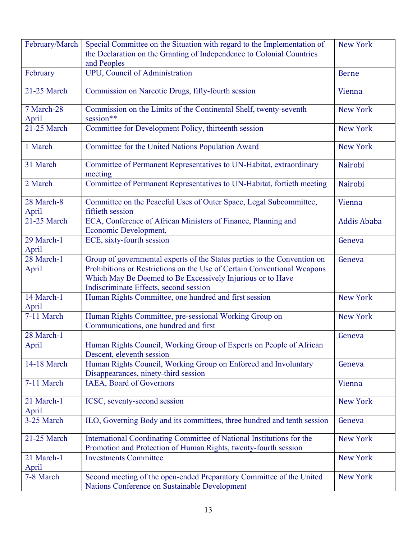| February/March      | Special Committee on the Situation with regard to the Implementation of<br>the Declaration on the Granting of Independence to Colonial Countries<br>and Peoples                                                                                             | <b>New York</b>    |
|---------------------|-------------------------------------------------------------------------------------------------------------------------------------------------------------------------------------------------------------------------------------------------------------|--------------------|
| February            | UPU, Council of Administration                                                                                                                                                                                                                              | <b>Berne</b>       |
| 21-25 March         | Commission on Narcotic Drugs, fifty-fourth session                                                                                                                                                                                                          | Vienna             |
| 7 March-28<br>April | Commission on the Limits of the Continental Shelf, twenty-seventh<br>session**                                                                                                                                                                              | <b>New York</b>    |
| 21-25 March         | Committee for Development Policy, thirteenth session                                                                                                                                                                                                        | <b>New York</b>    |
| 1 March             | Committee for the United Nations Population Award                                                                                                                                                                                                           | <b>New York</b>    |
| 31 March            | Committee of Permanent Representatives to UN-Habitat, extraordinary<br>meeting                                                                                                                                                                              | Nairobi            |
| 2 March             | Committee of Permanent Representatives to UN-Habitat, fortieth meeting                                                                                                                                                                                      | Nairobi            |
| 28 March-8<br>April | Committee on the Peaceful Uses of Outer Space, Legal Subcommittee,<br>fiftieth session                                                                                                                                                                      | Vienna             |
| 21-25 March         | ECA, Conference of African Ministers of Finance, Planning and<br>Economic Development,                                                                                                                                                                      | <b>Addis Ababa</b> |
| 29 March-1<br>April | ECE, sixty-fourth session                                                                                                                                                                                                                                   | Geneva             |
| 28 March-1<br>April | Group of governmental experts of the States parties to the Convention on<br>Prohibitions or Restrictions on the Use of Certain Conventional Weapons<br>Which May Be Deemed to Be Excessively Injurious or to Have<br>Indiscriminate Effects, second session | Geneva             |
| 14 March-1<br>April | Human Rights Committee, one hundred and first session                                                                                                                                                                                                       | <b>New York</b>    |
| 7-11 March          | Human Rights Committee, pre-sessional Working Group on<br>Communications, one hundred and first                                                                                                                                                             | <b>New York</b>    |
| 28 March-1<br>April | Human Rights Council, Working Group of Experts on People of African<br>Descent, eleventh session                                                                                                                                                            | Geneva             |
| 14-18 March         | Human Rights Council, Working Group on Enforced and Involuntary<br>Disappearances, ninety-third session                                                                                                                                                     | Geneva             |
| 7-11 March          | IAEA, Board of Governors                                                                                                                                                                                                                                    | Vienna             |
| 21 March-1<br>April | ICSC, seventy-second session                                                                                                                                                                                                                                | <b>New York</b>    |
| 3-25 March          | ILO, Governing Body and its committees, three hundred and tenth session                                                                                                                                                                                     | Geneva             |
| 21-25 March         | International Coordinating Committee of National Institutions for the<br>Promotion and Protection of Human Rights, twenty-fourth session                                                                                                                    | <b>New York</b>    |
| 21 March-1<br>April | <b>Investments Committee</b>                                                                                                                                                                                                                                | <b>New York</b>    |
| 7-8 March           | Second meeting of the open-ended Preparatory Committee of the United<br>Nations Conference on Sustainable Development                                                                                                                                       | <b>New York</b>    |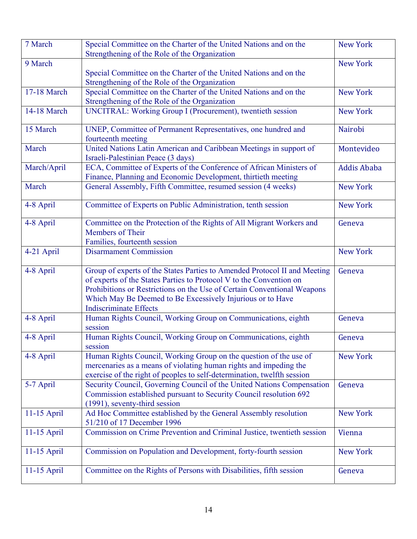| 7 March       | Special Committee on the Charter of the United Nations and on the                                                                                                                                                                                                                                                          | <b>New York</b>    |
|---------------|----------------------------------------------------------------------------------------------------------------------------------------------------------------------------------------------------------------------------------------------------------------------------------------------------------------------------|--------------------|
| 9 March       | Strengthening of the Role of the Organization                                                                                                                                                                                                                                                                              | <b>New York</b>    |
|               | Special Committee on the Charter of the United Nations and on the                                                                                                                                                                                                                                                          |                    |
|               | Strengthening of the Role of the Organization                                                                                                                                                                                                                                                                              |                    |
| 17-18 March   | Special Committee on the Charter of the United Nations and on the                                                                                                                                                                                                                                                          | <b>New York</b>    |
|               | Strengthening of the Role of the Organization                                                                                                                                                                                                                                                                              |                    |
| 14-18 March   | UNCITRAL: Working Group I (Procurement), twentieth session                                                                                                                                                                                                                                                                 | <b>New York</b>    |
| 15 March      | UNEP, Committee of Permanent Representatives, one hundred and<br>fourteenth meeting                                                                                                                                                                                                                                        | Nairobi            |
| March         | United Nations Latin American and Caribbean Meetings in support of<br>Israeli-Palestinian Peace (3 days)                                                                                                                                                                                                                   | Montevideo         |
| March/April   | ECA, Committee of Experts of the Conference of African Ministers of<br>Finance, Planning and Economic Development, thirtieth meeting                                                                                                                                                                                       | <b>Addis Ababa</b> |
| March         | General Assembly, Fifth Committee, resumed session (4 weeks)                                                                                                                                                                                                                                                               | <b>New York</b>    |
| 4-8 April     | Committee of Experts on Public Administration, tenth session                                                                                                                                                                                                                                                               | <b>New York</b>    |
| 4-8 April     | Committee on the Protection of the Rights of All Migrant Workers and<br>Members of Their<br>Families, fourteenth session                                                                                                                                                                                                   | Geneva             |
| 4-21 April    | <b>Disarmament Commission</b>                                                                                                                                                                                                                                                                                              | <b>New York</b>    |
| 4-8 April     | Group of experts of the States Parties to Amended Protocol II and Meeting<br>of experts of the States Parties to Protocol V to the Convention on<br>Prohibitions or Restrictions on the Use of Certain Conventional Weapons<br>Which May Be Deemed to Be Excessively Injurious or to Have<br><b>Indiscriminate Effects</b> | Geneva             |
| 4-8 April     | Human Rights Council, Working Group on Communications, eighth<br>session                                                                                                                                                                                                                                                   | Geneva             |
| 4-8 April     | Human Rights Council, Working Group on Communications, eighth<br>session                                                                                                                                                                                                                                                   | Geneva             |
| 4-8 April     | Human Rights Council, Working Group on the question of the use of<br>mercenaries as a means of violating human rights and impeding the<br>exercise of the right of peoples to self-determination, twelfth session                                                                                                          | <b>New York</b>    |
| 5-7 April     | Security Council, Governing Council of the United Nations Compensation<br>Commission established pursuant to Security Council resolution 692<br>(1991), seventy-third session                                                                                                                                              | Geneva             |
| 11-15 April   | Ad Hoc Committee established by the General Assembly resolution<br>51/210 of 17 December 1996                                                                                                                                                                                                                              | <b>New York</b>    |
| 11-15 April   | Commission on Crime Prevention and Criminal Justice, twentieth session                                                                                                                                                                                                                                                     | Vienna             |
| $11-15$ April | Commission on Population and Development, forty-fourth session                                                                                                                                                                                                                                                             | <b>New York</b>    |
| 11-15 April   | Committee on the Rights of Persons with Disabilities, fifth session                                                                                                                                                                                                                                                        | Geneva             |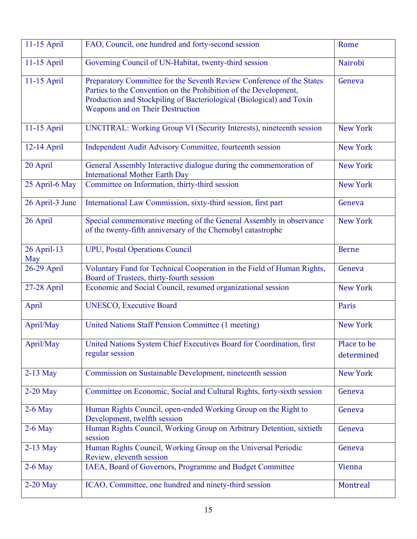| 11-15 April        | FAO, Council, one hundred and forty-second session                                                                                                                                                                                                    | Rome                      |
|--------------------|-------------------------------------------------------------------------------------------------------------------------------------------------------------------------------------------------------------------------------------------------------|---------------------------|
| 11-15 April        | Governing Council of UN-Habitat, twenty-third session                                                                                                                                                                                                 | Nairobi                   |
| 11-15 April        | Preparatory Committee for the Seventh Review Conference of the States<br>Parties to the Convention on the Prohibition of the Development,<br>Production and Stockpiling of Bacteriological (Biological) and Toxin<br>Weapons and on Their Destruction | Geneva                    |
| 11-15 April        | UNCITRAL: Working Group VI (Security Interests), nineteenth session                                                                                                                                                                                   | <b>New York</b>           |
| 12-14 April        | Independent Audit Advisory Committee, fourteenth session                                                                                                                                                                                              | <b>New York</b>           |
| 20 April           | General Assembly Interactive dialogue during the commemoration of<br><b>International Mother Earth Day</b>                                                                                                                                            | <b>New York</b>           |
| 25 April-6 May     | Committee on Information, thirty-third session                                                                                                                                                                                                        | <b>New York</b>           |
| 26 April-3 June    | International Law Commission, sixty-third session, first part                                                                                                                                                                                         | Geneva                    |
| 26 April           | Special commemorative meeting of the General Assembly in observance<br>of the twenty-fifth anniversary of the Chernobyl catastrophe                                                                                                                   | <b>New York</b>           |
| 26 April-13<br>May | <b>UPU</b> , Postal Operations Council                                                                                                                                                                                                                | <b>Berne</b>              |
| 26-29 April        | Voluntary Fund for Technical Cooperation in the Field of Human Rights,<br>Board of Trustees, thirty-fourth session                                                                                                                                    | Geneva                    |
| 27-28 April        | Economic and Social Council, resumed organizational session                                                                                                                                                                                           | <b>New York</b>           |
| April              | <b>UNESCO, Executive Board</b>                                                                                                                                                                                                                        | Paris                     |
| April/May          | United Nations Staff Pension Committee (1 meeting)                                                                                                                                                                                                    | <b>New York</b>           |
| April/May          | United Nations System Chief Executives Board for Coordination, first<br>regular session                                                                                                                                                               | Place to be<br>determined |
| $2-13$ May         | Commission on Sustainable Development, nineteenth session                                                                                                                                                                                             | <b>New York</b>           |
| $2-20$ May         | Committee on Economic, Social and Cultural Rights, forty-sixth session                                                                                                                                                                                | Geneva                    |
| $2-6$ May          | Human Rights Council, open-ended Working Group on the Right to<br>Development, twelfth session                                                                                                                                                        | Geneva                    |
| $2-6$ May          | Human Rights Council, Working Group on Arbitrary Detention, sixtieth<br>session                                                                                                                                                                       | Geneva                    |
| $2-13$ May         | Human Rights Council, Working Group on the Universal Periodic<br>Review, eleventh session                                                                                                                                                             | Geneva                    |
| $2-6$ May          | IAEA, Board of Governors, Programme and Budget Committee                                                                                                                                                                                              | Vienna                    |
| $2-20$ May         | ICAO, Committee, one hundred and ninety-third session                                                                                                                                                                                                 | Montreal                  |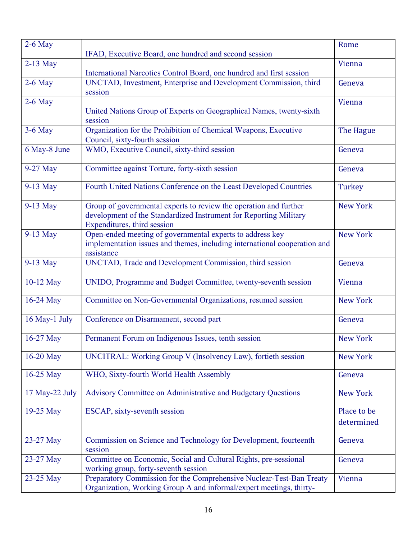| $2-6$ May      |                                                                                                                                                                       | Rome                      |
|----------------|-----------------------------------------------------------------------------------------------------------------------------------------------------------------------|---------------------------|
|                | IFAD, Executive Board, one hundred and second session                                                                                                                 |                           |
| $2-13$ May     | International Narcotics Control Board, one hundred and first session                                                                                                  | Vienna                    |
| $2-6$ May      | UNCTAD, Investment, Enterprise and Development Commission, third<br>session                                                                                           | Geneva                    |
| $2-6$ May      | United Nations Group of Experts on Geographical Names, twenty-sixth<br>session                                                                                        | Vienna                    |
| 3-6 May        | Organization for the Prohibition of Chemical Weapons, Executive<br>Council, sixty-fourth session                                                                      | The Hague                 |
| 6 May-8 June   | WMO, Executive Council, sixty-third session                                                                                                                           | Geneva                    |
| 9-27 May       | Committee against Torture, forty-sixth session                                                                                                                        | Geneva                    |
| 9-13 May       | Fourth United Nations Conference on the Least Developed Countries                                                                                                     | Turkey                    |
| 9-13 May       | Group of governmental experts to review the operation and further<br>development of the Standardized Instrument for Reporting Military<br>Expenditures, third session | <b>New York</b>           |
| 9-13 May       | Open-ended meeting of governmental experts to address key<br>implementation issues and themes, including international cooperation and<br>assistance                  | <b>New York</b>           |
| 9-13 May       | UNCTAD, Trade and Development Commission, third session                                                                                                               | Geneva                    |
| 10-12 May      | UNIDO, Programme and Budget Committee, twenty-seventh session                                                                                                         | Vienna                    |
| 16-24 May      | Committee on Non-Governmental Organizations, resumed session                                                                                                          | <b>New York</b>           |
| 16 May-1 July  | Conference on Disarmament, second part                                                                                                                                | Geneva                    |
| 16-27 May      | Permanent Forum on Indigenous Issues, tenth session                                                                                                                   | <b>New York</b>           |
| 16-20 May      | UNCITRAL: Working Group V (Insolvency Law), fortieth session                                                                                                          | <b>New York</b>           |
| 16-25 May      | WHO, Sixty-fourth World Health Assembly                                                                                                                               | Geneva                    |
| 17 May-22 July | Advisory Committee on Administrative and Budgetary Questions                                                                                                          | <b>New York</b>           |
| 19-25 May      | ESCAP, sixty-seventh session                                                                                                                                          | Place to be<br>determined |
| 23-27 May      | Commission on Science and Technology for Development, fourteenth<br>session                                                                                           | Geneva                    |
| 23-27 May      | Committee on Economic, Social and Cultural Rights, pre-sessional<br>working group, forty-seventh session                                                              | Geneva                    |
| 23-25 May      | Preparatory Commission for the Comprehensive Nuclear-Test-Ban Treaty<br>Organization, Working Group A and informal/expert meetings, thirty-                           | Vienna                    |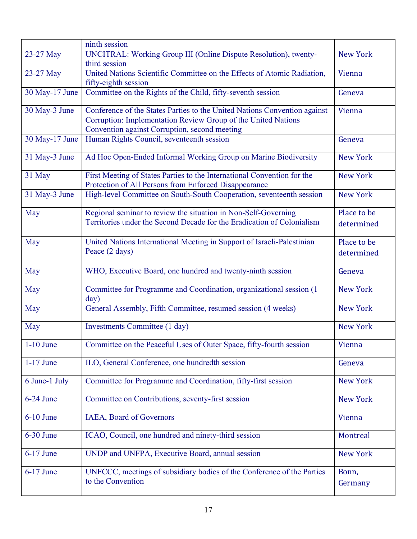|                | ninth session                                                                                                                                                                               |                           |
|----------------|---------------------------------------------------------------------------------------------------------------------------------------------------------------------------------------------|---------------------------|
| 23-27 May      | UNCITRAL: Working Group III (Online Dispute Resolution), twenty-<br>third session                                                                                                           | <b>New York</b>           |
| 23-27 May      | United Nations Scientific Committee on the Effects of Atomic Radiation,<br>fifty-eighth session                                                                                             | Vienna                    |
| 30 May-17 June | Committee on the Rights of the Child, fifty-seventh session                                                                                                                                 | Geneva                    |
| 30 May-3 June  | Conference of the States Parties to the United Nations Convention against<br>Corruption: Implementation Review Group of the United Nations<br>Convention against Corruption, second meeting | Vienna                    |
| 30 May-17 June | Human Rights Council, seventeenth session                                                                                                                                                   | Geneva                    |
| 31 May-3 June  | Ad Hoc Open-Ended Informal Working Group on Marine Biodiversity                                                                                                                             | <b>New York</b>           |
| 31 May         | First Meeting of States Parties to the International Convention for the<br>Protection of All Persons from Enforced Disappearance                                                            | <b>New York</b>           |
| 31 May-3 June  | High-level Committee on South-South Cooperation, seventeenth session                                                                                                                        | <b>New York</b>           |
| May            | Regional seminar to review the situation in Non-Self-Governing<br>Territories under the Second Decade for the Eradication of Colonialism                                                    | Place to be<br>determined |
| May            | United Nations International Meeting in Support of Israeli-Palestinian<br>Peace (2 days)                                                                                                    | Place to be<br>determined |
| May            | WHO, Executive Board, one hundred and twenty-ninth session                                                                                                                                  | Geneva                    |
| May            | Committee for Programme and Coordination, organizational session (1<br>day)                                                                                                                 | <b>New York</b>           |
| May            | General Assembly, Fifth Committee, resumed session (4 weeks)                                                                                                                                | <b>New York</b>           |
| May            | Investments Committee (1 day)                                                                                                                                                               | <b>New York</b>           |
| $1-10$ June    | Committee on the Peaceful Uses of Outer Space, fifty-fourth session                                                                                                                         | Vienna                    |
| $1-17$ June    | ILO, General Conference, one hundredth session                                                                                                                                              | Geneva                    |
| 6 June-1 July  | Committee for Programme and Coordination, fifty-first session                                                                                                                               | <b>New York</b>           |
| $6-24$ June    | Committee on Contributions, seventy-first session                                                                                                                                           | <b>New York</b>           |
| $6-10$ June    | IAEA, Board of Governors                                                                                                                                                                    | Vienna                    |
| 6-30 June      | ICAO, Council, one hundred and ninety-third session                                                                                                                                         | Montreal                  |
| 6-17 June      | UNDP and UNFPA, Executive Board, annual session                                                                                                                                             | <b>New York</b>           |
| 6-17 June      | UNFCCC, meetings of subsidiary bodies of the Conference of the Parties<br>to the Convention                                                                                                 | Bonn,<br>Germany          |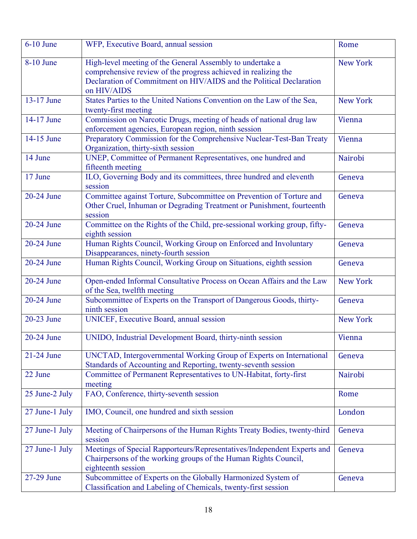| 6-10 June      | WFP, Executive Board, annual session                                                                                                                                                                              | Rome            |
|----------------|-------------------------------------------------------------------------------------------------------------------------------------------------------------------------------------------------------------------|-----------------|
| 8-10 June      | High-level meeting of the General Assembly to undertake a<br>comprehensive review of the progress achieved in realizing the<br>Declaration of Commitment on HIV/AIDS and the Political Declaration<br>on HIV/AIDS | <b>New York</b> |
| 13-17 June     | States Parties to the United Nations Convention on the Law of the Sea,<br>twenty-first meeting                                                                                                                    | <b>New York</b> |
| 14-17 June     | Commission on Narcotic Drugs, meeting of heads of national drug law<br>enforcement agencies, European region, ninth session                                                                                       | Vienna          |
| 14-15 June     | Preparatory Commission for the Comprehensive Nuclear-Test-Ban Treaty<br>Organization, thirty-sixth session                                                                                                        | Vienna          |
| 14 June        | UNEP, Committee of Permanent Representatives, one hundred and<br>fifteenth meeting                                                                                                                                | Nairobi         |
| 17 June        | ILO, Governing Body and its committees, three hundred and eleventh<br>session                                                                                                                                     | Geneva          |
| 20-24 June     | Committee against Torture, Subcommittee on Prevention of Torture and<br>Other Cruel, Inhuman or Degrading Treatment or Punishment, fourteenth<br>session                                                          | Geneva          |
| $20-24$ June   | Committee on the Rights of the Child, pre-sessional working group, fifty-<br>eighth session                                                                                                                       | Geneva          |
| 20-24 June     | Human Rights Council, Working Group on Enforced and Involuntary<br>Disappearances, ninety-fourth session                                                                                                          | Geneva          |
| 20-24 June     | Human Rights Council, Working Group on Situations, eighth session                                                                                                                                                 | Geneva          |
| 20-24 June     | Open-ended Informal Consultative Process on Ocean Affairs and the Law<br>of the Sea, twelfth meeting                                                                                                              | <b>New York</b> |
| 20-24 June     | Subcommittee of Experts on the Transport of Dangerous Goods, thirty-<br>ninth session                                                                                                                             | Geneva          |
| 20-23 June     | UNICEF, Executive Board, annual session                                                                                                                                                                           | <b>New York</b> |
| 20-24 June     | UNIDO, Industrial Development Board, thirty-ninth session                                                                                                                                                         | Vienna          |
| 21-24 June     | UNCTAD, Intergovernmental Working Group of Experts on International<br>Standards of Accounting and Reporting, twenty-seventh session                                                                              | Geneva          |
| 22 June        | Committee of Permanent Representatives to UN-Habitat, forty-first<br>meeting                                                                                                                                      | Nairobi         |
| 25 June-2 July | FAO, Conference, thirty-seventh session                                                                                                                                                                           | Rome            |
| 27 June-1 July | IMO, Council, one hundred and sixth session                                                                                                                                                                       | London          |
| 27 June-1 July | Meeting of Chairpersons of the Human Rights Treaty Bodies, twenty-third<br>session                                                                                                                                | Geneva          |
| 27 June-1 July | Meetings of Special Rapporteurs/Representatives/Independent Experts and<br>Chairpersons of the working groups of the Human Rights Council,<br>eighteenth session                                                  | Geneva          |
| 27-29 June     | Subcommittee of Experts on the Globally Harmonized System of<br>Classification and Labeling of Chemicals, twenty-first session                                                                                    | Geneva          |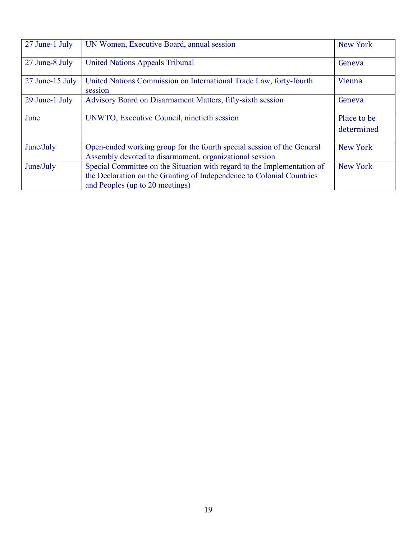| 27 June-1 July  | UN Women, Executive Board, annual session                                                                                                                                           | <b>New York</b>           |
|-----------------|-------------------------------------------------------------------------------------------------------------------------------------------------------------------------------------|---------------------------|
| 27 June-8 July  | <b>United Nations Appeals Tribunal</b>                                                                                                                                              | Geneva                    |
| 27 June-15 July | United Nations Commission on International Trade Law, forty-fourth<br>session                                                                                                       | Vienna                    |
| 29 June-1 July  | Advisory Board on Disarmament Matters, fifty-sixth session                                                                                                                          | Geneva                    |
| June            | UNWTO, Executive Council, ninetieth session                                                                                                                                         | Place to be<br>determined |
| June/July       | Open-ended working group for the fourth special session of the General<br>Assembly devoted to disarmament, organizational session                                                   | <b>New York</b>           |
| June/July       | Special Committee on the Situation with regard to the Implementation of<br>the Declaration on the Granting of Independence to Colonial Countries<br>and Peoples (up to 20 meetings) | <b>New York</b>           |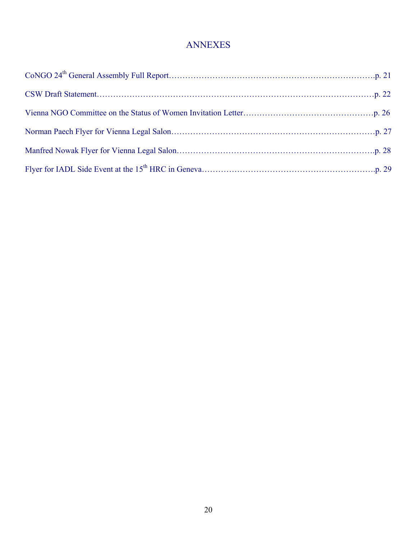#### ANNEXES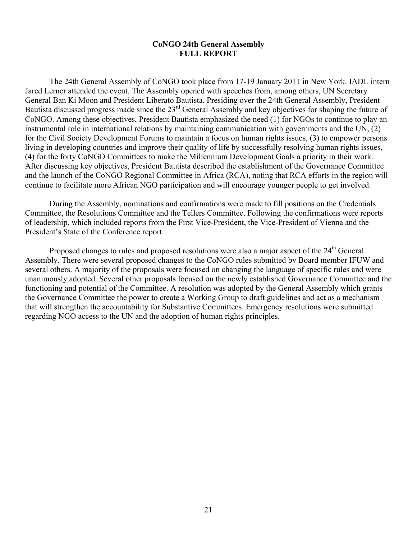#### **CoNGO 24th General Assembly FULL REPORT**

The 24th General Assembly of CoNGO took place from 17-19 January 2011 in New York. IADL intern Jared Lerner attended the event. The Assembly opened with speeches from, among others, UN Secretary General Ban Ki Moon and President Liberato Bautista. Presiding over the 24th General Assembly, President Bautista discussed progress made since the 23rd General Assembly and key objectives for shaping the future of CoNGO. Among these objectives, President Bautista emphasized the need (1) for NGOs to continue to play an instrumental role in international relations by maintaining communication with governments and the UN, (2) for the Civil Society Development Forums to maintain a focus on human rights issues, (3) to empower persons living in developing countries and improve their quality of life by successfully resolving human rights issues, (4) for the forty CoNGO Committees to make the Millennium Development Goals a priority in their work. After discussing key objectives, President Bautista described the establishment of the Governance Committee and the launch of the CoNGO Regional Committee in Africa (RCA), noting that RCA efforts in the region will continue to facilitate more African NGO participation and will encourage younger people to get involved.

During the Assembly, nominations and confirmations were made to fill positions on the Credentials Committee, the Resolutions Committee and the Tellers Committee. Following the confirmations were reports of leadership, which included reports from the First Vice-President, the Vice-President of Vienna and the President's State of the Conference report.

Proposed changes to rules and proposed resolutions were also a major aspect of the 24<sup>th</sup> General Assembly. There were several proposed changes to the CoNGO rules submitted by Board member IFUW and several others. A majority of the proposals were focused on changing the language of specific rules and were unanimously adopted. Several other proposals focused on the newly established Governance Committee and the functioning and potential of the Committee. A resolution was adopted by the General Assembly which grants the Governance Committee the power to create a Working Group to draft guidelines and act as a mechanism that will strengthen the accountability for Substantive Committees. Emergency resolutions were submitted regarding NGO access to the UN and the adoption of human rights principles.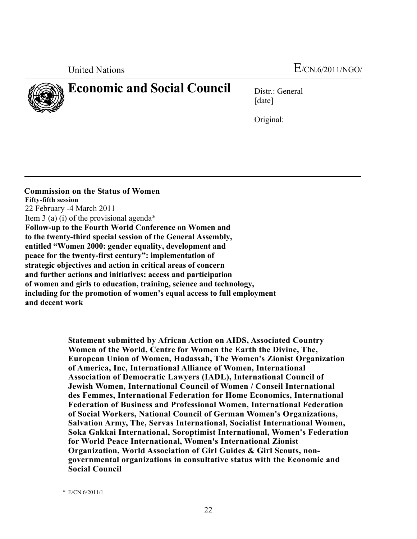

### **Economic and Social Council** Distr.: General

[date]

Original:

 **Commission on the Status of Women Fifty-fifth session**  22 February -4 March 2011 Item 3 (a) (i) of the provisional agenda\* **Follow-up to the Fourth World Conference on Women and to the twenty-third special session of the General Assembly, entitled "Women 2000: gender equality, development and peace for the twenty-first century": implementation of strategic objectives and action in critical areas of concern and further actions and initiatives: access and participation of women and girls to education, training, science and technology, including for the promotion of women's equal access to full employment and decent work** 

> **Statement submitted by African Action on AIDS, Associated Country Women of the World, Centre for Women the Earth the Divine, The, European Union of Women, Hadassah, The Women's Zionist Organization of America, Inc, International Alliance of Women, International Association of Democratic Lawyers (IADL), International Council of Jewish Women, International Council of Women / Conseil International des Femmes, International Federation for Home Economics, International Federation of Business and Professional Women, International Federation of Social Workers, National Council of German Women's Organizations, Salvation Army, The, Servas International, Socialist International Women, Soka Gakkai International, Soroptimist International, Women's Federation for World Peace International, Women's International Zionist Organization, World Association of Girl Guides & Girl Scouts, nongovernmental organizations in consultative status with the Economic and Social Council**

 <sup>\*</sup> E/CN.6/2011/1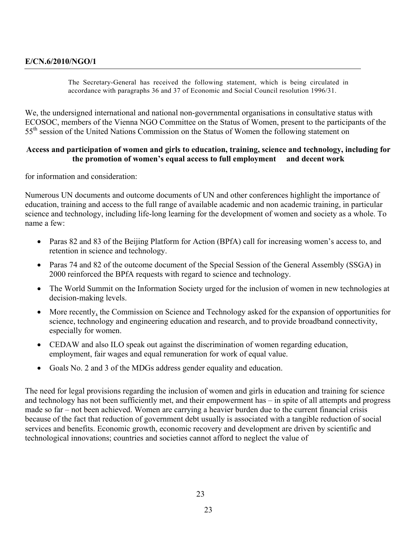The Secretary-General has received the following statement, which is being circulated in accordance with paragraphs 36 and 37 of Economic and Social Council resolution 1996/31.

We, the undersigned international and national non-governmental organisations in consultative status with ECOSOC, members of the Vienna NGO Committee on the Status of Women, present to the participants of the 55<sup>th</sup> session of the United Nations Commission on the Status of Women the following statement on

#### **Access and participation of women and girls to education, training, science and technology, including for the promotion of women's equal access to full employment and decent work**

for information and consideration:

Numerous UN documents and outcome documents of UN and other conferences highlight the importance of education, training and access to the full range of available academic and non academic training, in particular science and technology, including life-long learning for the development of women and society as a whole. To name a few:

- Paras 82 and 83 of the Beijing Platform for Action (BPfA) call for increasing women's access to, and retention in science and technology.
- Paras 74 and 82 of the outcome document of the Special Session of the General Assembly (SSGA) in 2000 reinforced the BPfA requests with regard to science and technology.
- The World Summit on the Information Society urged for the inclusion of women in new technologies at decision-making levels.
- More recently, the Commission on Science and Technology asked for the expansion of opportunities for science, technology and engineering education and research, and to provide broadband connectivity, especially for women.
- CEDAW and also ILO speak out against the discrimination of women regarding education, employment, fair wages and equal remuneration for work of equal value.
- Goal*s* No. 2 and 3 of the MDGs address gender equality and education.

The need for legal provisions regarding the inclusion of women and girls in education and training for science and technology has not been sufficiently met, and their empowerment has – in spite of all attempts and progress made so far – not been achieved. Women are carrying a heavier burden due to the current financial crisis because of the fact that reduction of government debt usually is associated with a tangible reduction of social services and benefits. Economic growth, economic recovery and development are driven by scientific and technological innovations; countries and societies cannot afford to neglect the value of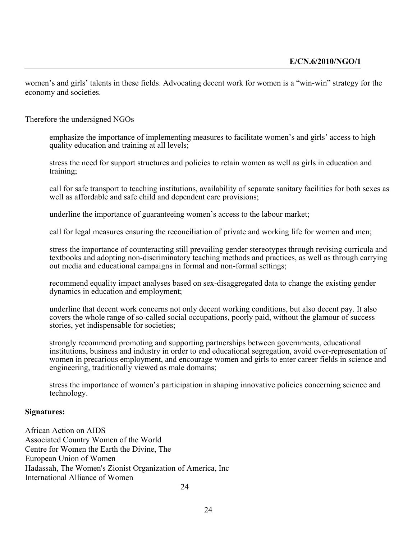women's and girls' talents in these fields. Advocating decent work for women is a "win-win" strategy for the economy and societies.

Therefore the undersigned NGOs

emphasize the importance of implementing measures to facilitate women's and girls' access to high quality education and training at all levels;

stress the need for support structures and policies to retain women as well as girls in education and training;

call for safe transport to teaching institutions, availability of separate sanitary facilities for both sexes as well as affordable and safe child and dependent care provisions;

underline the importance of guaranteeing women's access to the labour market;

call for legal measures ensuring the reconciliation of private and working life for women and men;

stress the importance of counteracting still prevailing gender stereotypes through revising curricula and textbooks and adopting non-discriminatory teaching methods and practices, as well as through carrying out media and educational campaigns in formal and non-formal settings;

recommend equality impact analyses based on sex-disaggregated data to change the existing gender dynamics in education and employment;

underline that decent work concerns not only decent working conditions, but also decent pay. It also covers the whole range of so-called social occupations, poorly paid, without the glamour of success stories, yet indispensable for societies;

strongly recommend promoting and supporting partnerships between governments, educational institutions, business and industry in order to end educational segregation, avoid over-representation of women in precarious employment, and encourage women and girls to enter career fields in science and engineering, traditionally viewed as male domains;

stress the importance of women's participation in shaping innovative policies concerning science and technology.

#### **Signatures:**

African Action on AIDS Associated Country Women of the World Centre for Women the Earth the Divine, The European Union of Women Hadassah, The Women's Zionist Organization of America, Inc International Alliance of Women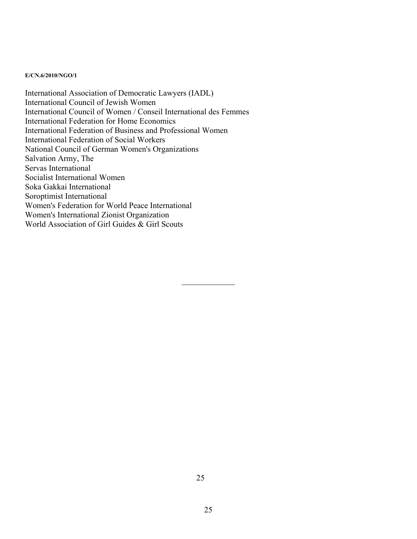#### **E/CN.6/2010/NGO/1**

International Association of Democratic Lawyers (IADL) International Council of Jewish Women International Council of Women / Conseil International des Femmes International Federation for Home Economics International Federation of Business and Professional Women International Federation of Social Workers National Council of German Women's Organizations Salvation Army, The Servas International Socialist International Women Soka Gakkai International Soroptimist International Women's Federation for World Peace International Women's International Zionist Organization World Association of Girl Guides & Girl Scouts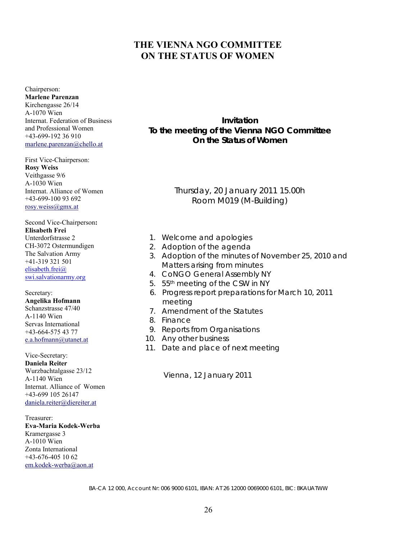#### **THE VIENNA NGO COMMITTEE ON THE STATUS OF WOMEN**

Chairperson: **Marlene Parenzan**  Kirchengasse 26/14 A-1070 Wien Internat. Federation of Business and Professional Women +43-699-192 36 910 marlene.parenzan@chello.at

#### First Vice-Chairperson: **Rosy Weiss**  Veithgasse 9/6 A-1030 Wien Internat. Alliance of Women +43-699-100 93 692 rosy.weiss@gmx.at

Second Vice-Chairperson**: Elisabeth Frei** Unterdorfstrasse 2 CH-3072 Ostermundigen The Salvation Army +41-319 321 501 elisabeth.frei@ swi.salvationarmy.org

Secretary: **Angelika Hofmann**  Schanzstrasse 47/40 A-1140 Wien Servas International +43-664-575 43 77 e.a.hofmann@utanet.at

Vice-Secretary: **Daniela Reiter**  Wurzbachtalgasse 23/12 A-1140 Wien Internat. Alliance of Women +43-699 105 26147 daniela.reiter@diereiter.at

Treasurer: **Eva-Maria Kodek-Werba**  Kramergasse 3 A-1010 Wien Zonta International +43-676-405 10 62 em.kodek-werba@aon.at

**Invitation To the meeting of the Vienna NGO Committee On the Status of Women** 

> Thursday, 20 January 2011 15.00h Room M019 (M-Building)

- 1. Welcome and apologies
- 2. Adoption of the agenda
- 3. Adoption of the minutes of November 25, 2010 and Matters arising from minutes
- 4. C*o*NGO General Assembly NY
- 5. 55<sup>th</sup> meeting of the CSW in NY
- 6. Progress report preparations for March 10, 2011 meeting
- 7. Amendment of the Statutes
- 8. Finance
- 9. Reports from Organisations
- 10. Any other business
- 11. Date and place of next meeting

Vienna, 12 January 2011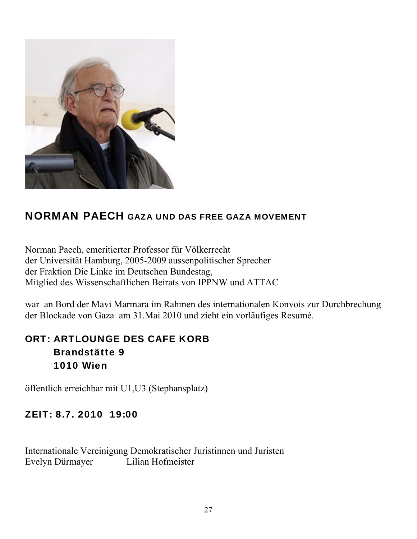

### NORMAN PAECH GAZA UND DAS FREE GAZA MOVEMENT

Norman Paech, emeritierter Professor für Völkerrecht der Universität Hamburg, 2005-2009 aussenpolitischer Sprecher der Fraktion Die Linke im Deutschen Bundestag, Mitglied des Wissenschaftlichen Beirats von IPPNW und ATTAC

war an Bord der Mavi Marmara im Rahmen des internationalen Konvois zur Durchbrechung der Blockade von Gaza am 31.Mai 2010 und zieht ein vorläufiges Resumé.

### ORT: ARTLOUNGE DES CAFE KORB Brandstätte 9 1010 Wien

öffentlich erreichbar mit U1,U3 (Stephansplatz)

#### ZEIT: 8.7. 2010 19:00

Internationale Vereinigung Demokratischer Juristinnen und Juristen Evelyn Dürmayer Lilian Hofmeister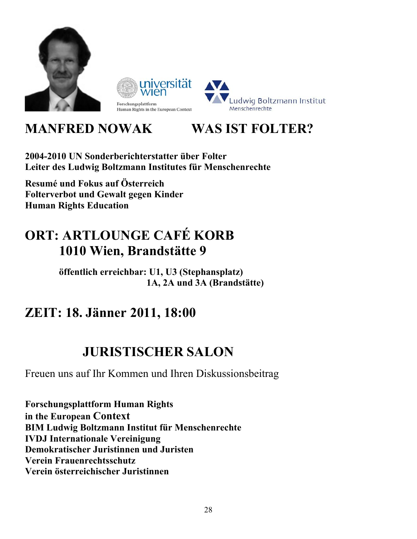

### **MANFRED NOWAK WAS IST FOLTER?**

**2004-2010 UN Sonderberichterstatter über Folter Leiter des Ludwig Boltzmann Institutes für Menschenrechte** 

**Resumé und Fokus auf Österreich Folterverbot und Gewalt gegen Kinder Human Rights Education** 

### **ORT: ARTLOUNGE CAFÉ KORB 1010 Wien, Brandstätte 9**

 **öffentlich erreichbar: U1, U3 (Stephansplatz) 1A, 2A und 3A (Brandstätte)** 

### **ZEIT: 18. Jänner 2011, 18:00**

### **JURISTISCHER SALON**

Freuen uns auf Ihr Kommen und Ihren Diskussionsbeitrag

**Forschungsplattform Human Rights in the European Context BIM Ludwig Boltzmann Institut für Menschenrechte IVDJ Internationale Vereinigung Demokratischer Juristinnen und Juristen Verein Frauenrechtsschutz Verein österreichischer Juristinnen**